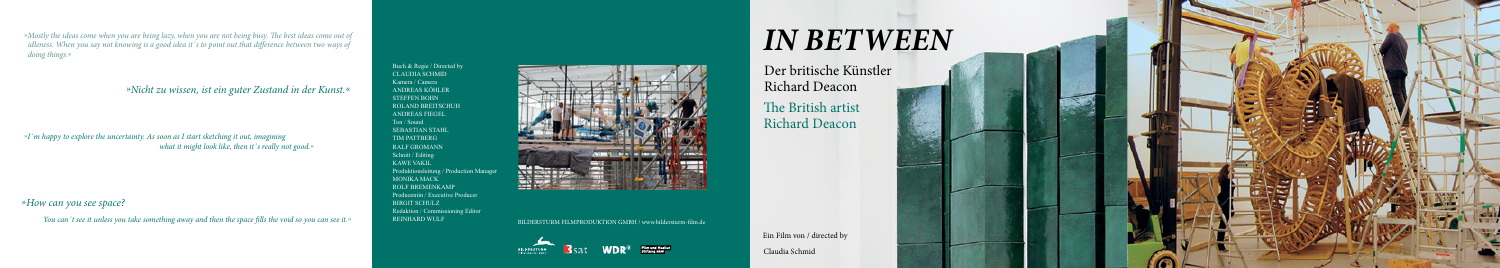## *In Between*

Richard Deacon

Ein Film von / directed by Claudia Schmid

»*Mostly the ideas come when you are being lazy, when you are not being busy. The best ideas come out of idleness. When you say not knowing is a good idea it´s to point out that difference between two ways of doing things*.«

> Buch & Regie / Directed by CLAUDIA SCHMID Kamera / Camera ANDREAS KÖHLER STEFFEN BOHN ROLAND BREITSCHUH ANDREAS FIEGEL Ton / Sound SEBASTIAN STAHL TIM PATTBERG RALF GROMANN Schnitt / Editing KAWE VAKIL Produktionsleitung / Production Manager MONIKA MACK ROLF BREMENKAMP Produzentin / Executive Producer BIRGIT SCHULZ Redaktion / Commissioning Editor REINHARD WULF





- Der britische Künstler
	-
- The British artist Richard Deacon





»*I´m happy to explore the uncertainty. As soon as I start sketching it out, imagining what it might look like, then it´s really not good.*«

*»How can you see space?*

You can't see it unless you take something away and then the space fills the void so you can see it.« **EXELL SERVALUAT SOME INTERSTURM FILMPRODUKTION GMBH** / www.bildersturm-film.de

*»Nicht zu wissen, ist ein guter Zustand in der Kunst.«*